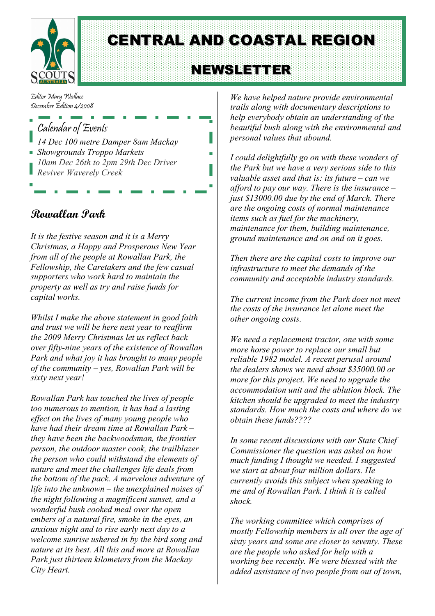

CENTRAL AND COASTAL REGION

# **NEWSLETTER**

Editor Mary Wallace December Edition 4/2008

#### Calendar of Events

*14 Dec 100 metre Damper 8am Mackay Showgrounds Troppo Markets 10am Dec 26th to 2pm 29th Dec Driver Reviver Waverely Creek*

**Rowallan Park**

*It is the festive season and it is a Merry Christmas, a Happy and Prosperous New Year from all of the people at Rowallan Park, the Fellowship, the Caretakers and the few casual supporters who work hard to maintain the property as well as try and raise funds for capital works.*

*Whilst I make the above statement in good faith and trust we will be here next year to reaffirm the 2009 Merry Christmas let us reflect back over fifty-nine years of the existence of Rowallan Park and what joy it has brought to many people of the community – yes, Rowallan Park will be sixty next year!*

*Rowallan Park has touched the lives of people too numerous to mention, it has had a lasting effect on the lives of many young people who have had their dream time at Rowallan Park – they have been the backwoodsman, the frontier person, the outdoor master cook, the trailblazer the person who could withstand the elements of nature and meet the challenges life deals from the bottom of the pack. A marvelous adventure of life into the unknown – the unexplained noises of the night following a magnificent sunset, and a wonderful bush cooked meal over the open embers of a natural fire, smoke in the eyes, an anxious night and to rise early next day to a welcome sunrise ushered in by the bird song and nature at its best. All this and more at Rowallan Park just thirteen kilometers from the Mackay City Heart.*

*We have helped nature provide environmental trails along with documentary descriptions to help everybody obtain an understanding of the beautiful bush along with the environmental and personal values that abound.*

*I could delightfully go on with these wonders of the Park but we have a very serious side to this valuable asset and that is: its future – can we afford to pay our way. There is the insurance – just \$13000.00 due by the end of March. There are the ongoing costs of normal maintenance items such as fuel for the machinery, maintenance for them, building maintenance, ground maintenance and on and on it goes.*

*Then there are the capital costs to improve our infrastructure to meet the demands of the community and acceptable industry standards.*

*The current income from the Park does not meet the costs of the insurance let alone meet the other ongoing costs.*

*We need a replacement tractor, one with some more horse power to replace our small but reliable 1982 model. A recent perusal around the dealers shows we need about \$35000.00 or more for this project. We need to upgrade the accommodation unit and the ablution block. The kitchen should be upgraded to meet the industry standards. How much the costs and where do we obtain these funds????*

*In some recent discussions with our State Chief Commissioner the question was asked on how much funding I thought we needed. I suggested we start at about four million dollars. He currently avoids this subject when speaking to me and of Rowallan Park. I think it is called shock.*

*The working committee which comprises of mostly Fellowship members is all over the age of sixty years and some are closer to seventy. These are the people who asked for help with a working bee recently. We were blessed with the added assistance of two people from out of town,*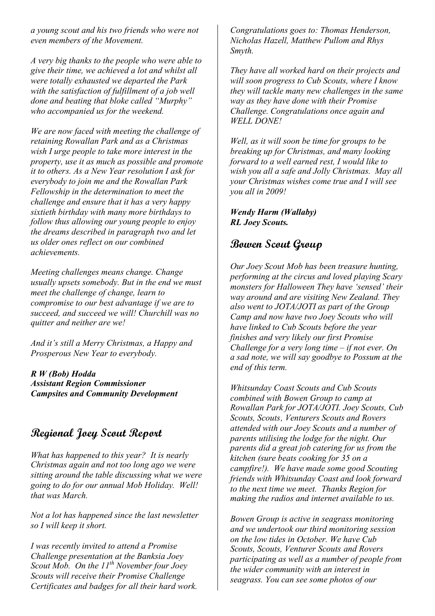*a young scout and his two friends who were not even members of the Movement.*

*A very big thanks to the people who were able to give their time, we achieved a lot and whilst all were totally exhausted we departed the Park with the satisfaction of fulfillment of a job well done and beating that bloke called "Murphy" who accompanied us for the weekend.*

*We are now faced with meeting the challenge of retaining Rowallan Park and as a Christmas wish I urge people to take more interest in the property, use it as much as possible and promote it to others. As a New Year resolution I ask for everybody to join me and the Rowallan Park Fellowship in the determination to meet the challenge and ensure that it has a very happy sixtieth birthday with many more birthdays to follow thus allowing our young people to enjoy the dreams described in paragraph two and let us older ones reflect on our combined achievements.*

*Meeting challenges means change. Change usually upsets somebody. But in the end we must meet the challenge of change, learn to compromise to our best advantage if we are to succeed, and succeed we will! Churchill was no quitter and neither are we!*

*And it's still a Merry Christmas, a Happy and Prosperous New Year to everybody.*

*R W (Bob) Hodda Assistant Region Commissioner Campsites and Community Development*

## **Regional Joey Scout Report**

*What has happened to this year? It is nearly Christmas again and not too long ago we were sitting around the table discussing what we were going to do for our annual Mob Holiday. Well! that was March.*

*Not a lot has happened since the last newsletter so I will keep it short.*

*I was recently invited to attend a Promise Challenge presentation at the Banksia Joey Scout Mob. On the 11th November four Joey Scouts will receive their Promise Challenge Certificates and badges for all their hard work.*

*Congratulations goes to: Thomas Henderson, Nicholas Hazell, Matthew Pullom and Rhys Smyth.*

*They have all worked hard on their projects and will soon progress to Cub Scouts, where I know they will tackle many new challenges in the same way as they have done with their Promise Challenge. Congratulations once again and WELL DONE!*

*Well, as it will soon be time for groups to be breaking up for Christmas, and many looking forward to a well earned rest, I would like to wish you all a safe and Jolly Christmas. May all your Christmas wishes come true and I will see you all in 2009!*

*Wendy Harm (Wallaby) RL Joey Scouts.*

### **Bowen Scout Group**

*Our Joey Scout Mob has been treasure hunting, performing at the circus and loved playing Scary monsters for Halloween They have 'sensed' their way around and are visiting New Zealand. They also went to JOTA/JOTI as part of the Group Camp and now have two Joey Scouts who will have linked to Cub Scouts before the year finishes and very likely our first Promise Challenge for a very long time – if not ever. On a sad note, we will say goodbye to Possum at the end of this term.*

*Whitsunday Coast Scouts and Cub Scouts combined with Bowen Group to camp at Rowallan Park for JOTA/JOTI. Joey Scouts, Cub Scouts, Scouts, Venturers Scouts and Rovers attended with our Joey Scouts and a number of parents utilising the lodge for the night. Our parents did a great job catering for us from the kitchen (sure beats cooking for 35 on a campfire!). We have made some good Scouting friends with Whitsunday Coast and look forward to the next time we meet. Thanks Region for making the radios and internet available to us.*

*Bowen Group is active in seagrass monitoring and we undertook our third monitoring session on the low tides in October. We have Cub Scouts, Scouts, Venturer Scouts and Rovers participating as well as a number of people from the wider community with an interest in seagrass. You can see some photos of our*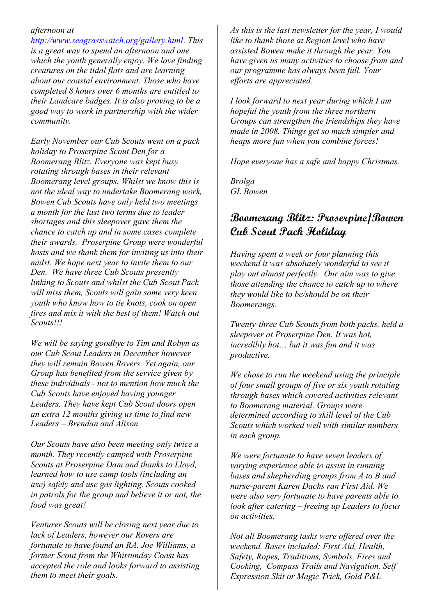#### *afternoon at*

*http://www.seagrasswatch.org/gallery.html. This is a great way to spend an afternoon and one which the youth generally enjoy. We love finding creatures on the tidal flats and are learning about our coastal environment. Those who have completed 8 hours over 6 months are entitled to their Landcare badges. It is also proving to be a good way to work in partnership with the wider community.*

*Early November our Cub Scouts went on a pack holiday to Proserpine Scout Den for a Boomerang Blitz. Everyone was kept busy rotating through bases in their relevant Boomerang level groups. Whilst we know this is not the ideal way to undertake Boomerang work, Bowen Cub Scouts have only held two meetings a month for the last two terms due to leader shortages and this sleepover gave them the chance to catch up and in some cases complete their awards. Proserpine Group were wonderful hosts and we thank them for inviting us into their midst. We hope next year to invite them to our Den. We have three Cub Scouts presently linking to Scouts and whilst the Cub Scout Pack will miss them, Scouts will gain some very keen youth who know how to tie knots, cook on open fires and mix it with the best of them! Watch out Scouts!!!*

*We will be saying goodbye to Tim and Robyn as our Cub Scout Leaders in December however they will remain Bowen Rovers. Yet again, our Group has benefited from the service given by these individuals - not to mention how much the Cub Scouts have enjoyed having younger Leaders. They have kept Cub Scout doors open an extra 12 months giving us time to find new Leaders – Brendan and Alison.*

*Our Scouts have also been meeting only twice a month. They recently camped with Proserpine Scouts at Proserpine Dam and thanks to Lloyd, learned how to use camp tools (including an axe) safely and use gas lighting. Scouts cooked in patrols for the group and believe it or not, the food was great!*

*Venturer Scouts will be closing next year due to lack of Leaders, however our Rovers are fortunate to have found an RA. Joe Williams, a former Scout from the Whitsunday Coast has accepted the role and looks forward to assisting them to meet their goals.*

*As this is the last newsletter for the year, I would like to thank those at Region level who have assisted Bowen make it through the year. You have given us many activities to choose from and our programme has always been full. Your efforts are appreciated.*

*I look forward to next year during which I am hopeful the youth from the three northern Groups can strengthen the friendships they have made in 2008. Things get so much simpler and heaps more fun when you combine forces!*

*Hope everyone has a safe and happy Christmas.*

*Brolga GL Bowen*

#### **Boomerang Blitz: Proserpine/Bowen Cub Scout Pack Holiday**

*Having spent a week or four planning this weekend it was absolutely wonderful to see it play out almost perfectly. Our aim was to give those attending the chance to catch up to where they would like to be/should be on their Boomerangs.*

*Twenty-three Cub Scouts from both packs, held a sleepover at Proserpine Den. It was hot, incredibly hot… but it was fun and it was productive.*

*We chose to run the weekend using the principle of four small groups of five or six youth rotating through bases which covered activities relevant to Boomerang material. Groups were determined according to skill level of the Cub Scouts which worked well with similar numbers in each group.*

*We were fortunate to have seven leaders of varying experience able to assist in running bases and shepherding groups from A to B and nurse-parent Karen Dachs ran First Aid. We were also very fortunate to have parents able to look after catering – freeing up Leaders to focus on activities.*

*Not all Boomerang tasks were offered over the weekend. Bases included: First Aid, Health, Safety, Ropes, Traditions, Symbols, Fires and Cooking, Compass Trails and Navigation, Self Expression Skit or Magic Trick, Gold P&L*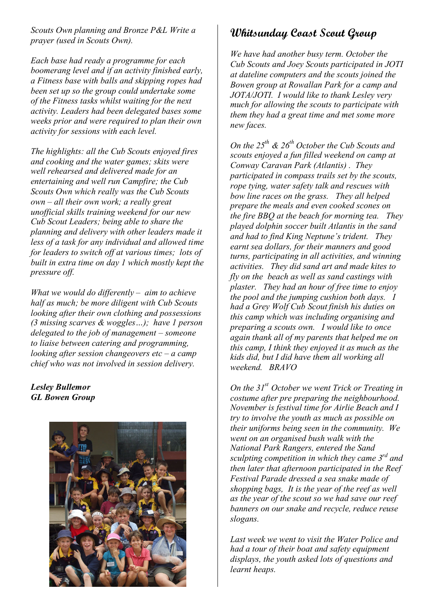*Scouts Own planning and Bronze P&L Write a prayer (used in Scouts Own).*

*Each base had ready a programme for each boomerang level and if an activity finished early, a Fitness base with balls and skipping ropes had been set up so the group could undertake some of the Fitness tasks whilst waiting for the next activity. Leaders had been delegated bases some weeks prior and were required to plan their own activity for sessions with each level.*

*The highlights: all the Cub Scouts enjoyed fires and cooking and the water games; skits were well rehearsed and delivered made for an entertaining and well run Campfire; the Cub Scouts Own which really was the Cub Scouts own – all their own work; a really great unofficial skills training weekend for our new Cub Scout Leaders; being able to share the planning and delivery with other leaders made it less of a task for any individual and allowed time for leaders to switch off at various times; lots of built in extra time on day 1 which mostly kept the pressure off.*

*What we would do differently – aim to achieve half as much; be more diligent with Cub Scouts looking after their own clothing and possessions (3 missing scarves & woggles…); have 1 person delegated to the job of management – someone to liaise between catering and programming, looking after session changeovers etc – a camp chief who was not involved in session delivery.*

#### *Lesley Bullemor GL Bowen Group*



## **Whitsunday Coast Scout Group**

*We have had another busy term. October the Cub Scouts and Joey Scouts participated in JOTI at dateline computers and the scouts joined the Bowen group at Rowallan Park for a camp and JOTA/JOTI. I would like to thank Lesley very much for allowing the scouts to participate with them they had a great time and met some more new faces.*

*On the 25th & 26th October the Cub Scouts and scouts enjoyed a fun filled weekend on camp at Conway Caravan Park (Atlantis) . They participated in compass trails set by the scouts, rope tying, water safety talk and rescues with bow line races on the grass. They all helped prepare the meals and even cooked scones on the fire BBQ at the beach for morning tea. They played dolphin soccer built Atlantis in the sand and had to find King Neptune's trident. They earnt sea dollars, for their manners and good turns, participating in all activities, and winning activities. They did sand art and made kites to fly on the beach as well as sand castings with plaster. They had an hour of free time to enjoy the pool and the jumping cushion both days. I had a Grey Wolf Cub Scout finish his duties on this camp which was including organising and preparing a scouts own. I would like to once again thank all of my parents that helped me on this camp, I think they enjoyed it as much as the kids did, but I did have them all working all weekend. BRAVO*

*On the 31st October we went Trick or Treating in costume after pre preparing the neighbourhood. November is festival time for Airlie Beach and I try to involve the youth as much as possible on their uniforms being seen in the community. We went on an organised bush walk with the National Park Rangers, entered the Sand sculpting competition in which they came 3rd and then later that afternoon participated in the Reef Festival Parade dressed a sea snake made of shopping bags, It is the year of the reef as well as the year of the scout so we had save our reef banners on our snake and recycle, reduce reuse slogans.*

*Last week we went to visit the Water Police and had a tour of their boat and safety equipment displays, the youth asked lots of questions and learnt heaps.*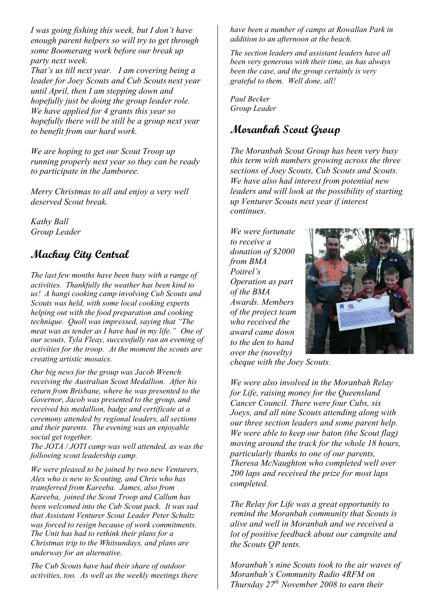*I was going fishing this week, but I don't have enough parent helpers so will try to get through some Boomerang work before our break up party next week.*

*That's us till next year. I am covering being a leader for Joey Scouts and Cub Scouts next year until April, then I am stepping down and hopefully just be doing the group leader role. We have applied for 4 grants this year so hopefully there will be still be a group next year to benefit from our hard work.*

*We are hoping to get our Scout Troop up running properly next year so they can be ready to participate in the Jamboree.*

*Merry Christmas to all and enjoy a very well deserved Scout break.*

*Kathy Ball Group Leader*

## **Mackay City Central**

*The last few months have been busy with a range of activities. Thankfully the weather has been kind to us! A hangi cooking camp involving Cub Scouts and Scouts was held, with some local cooking experts helping out with the food preparation and cooking technique. Quoll was impressed, saying that "The meat was as tender as I have had in my life." One of our scouts, Tyla Fleay, successfully ran an evening of activities for the troop. At the moment the scouts are creating artistic mosaics.*

*Our big news for the group was Jacob Wrench receiving the Australian Scout Medallion. After his return from Brisbane, where he was presented to the Governor, Jacob was presented to the group, and received his medallion, badge and certificate at a ceremony attended by regional leaders, all sections and their parents. The evening was an enjoyable social get together.*

*The JOTA / JOTI camp was well attended, as was the following scout leadership camp.*

*We were pleased to be joined by two new Venturers, Alex who is new to Scouting, and Chris who has transferred from Kareeba. James, also from Kareeba, joined the Scout Troop and Callum has been welcomed into the Cub Scout pack. It was sad that Assistant Venturer Scout Leader Peter Schultz was forced to resign because of work commitments. The Unit has had to rethink their plans for a Christmas trip to the Whitsundays, and plans are underway for an alternative.*

*The Cub Scouts have had their share of outdoor activities, too. As well as the weekly meetings there* *have been a number of camps at Rowallan Park in addition to an afternoon at the beach.*

*The section leaders and assistant leaders have all been very generous with their time, as has always been the case, and the group certainly is very grateful to them. Well done, all!*

*Paul Becker Group Leader*

### **Moranbah Scout Group**

*The Moranbah Scout Group has been very busy this term with numbers growing across the three sections of Joey Scouts, Cub Scouts and Scouts. We have also had interest from potential new leaders and will look at the possibility of starting up Venturer Scouts next year if interest continues.*

*We were fortunate to receive a donation of \$2000 from BMA Poitrel's Operation as part of the BMA Awards. Members of the project team who received the award came down to the den to hand over the (novelty)*



*cheque with the Joey Scouts.*

*We were also involved in the Moranbah Relay for Life, raising money for the Queensland Cancer Council. There were four Cubs, six Joeys, and all nine Scouts attending along with our three section leaders and some parent help. We were able to keep our baton (the Scout flag) moving around the track for the whole 18 hours, particularly thanks to one of our parents, Theresa McNaughton who completed well over 200 laps and received the prize for most laps completed.*

*The Relay for Life was a great opportunity to remind the Moranbah community that Scouts is alive and well in Moranbah and we received a lot of positive feedback about our campsite and the Scouts QP tents.*

*Moranbah's nine Scouts took to the air waves of Moranbah's Community Radio 4RFM on Thursday 27th November 2008 to earn their*